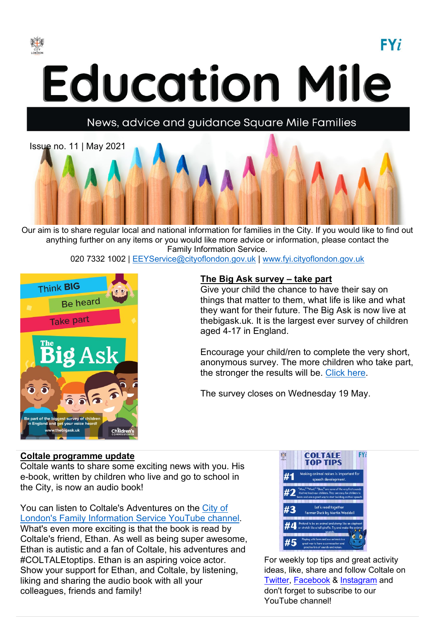

**Education Mile** 

## News, advice and guidance Square Mile Families



Our aim is to share regular local and national information for families in the City. If you would like to find out anything further on any items or you would like more advice or information, please contact the Family Information Service.

020 7332 1002 | [EEYService@cityoflondon.gov.uk](mailto:EEYService@cityoflondon.gov.uk) | [www.fyi.cityoflondon.gov.uk](http://www.fyi.cityoflondon.gov.uk/)



#### **The Big Ask survey – take part**

Give your child the chance to have their say on things that matter to them, what life is like and what they want for their future. The Big Ask is now live at thebigask.uk. It is the largest ever survey of children aged 4-17 in England.

 $FY_i$ 

Encourage your child/ren to complete the very short, anonymous survey. The more children who take part, the stronger the results will be. [Click here.](https://www.childrenscommissioner.gov.uk/thebigask/)

The survey closes on Wednesday 19 May.

#### **Coltale programme update**

Coltale wants to share some exciting news with you. His e-book, written by children who live and go to school in the City, is now an audio book!

You can listen to Coltale's Adventures on the [City of](https://www.youtube.com/channel/UCiUcqQpDfgcO9eWzCjVI07g)  [London's Family Information Service YouTube channel.](https://www.youtube.com/channel/UCiUcqQpDfgcO9eWzCjVI07g) What's even more exciting is that the book is read by Coltale's friend, Ethan. As well as being super awesome, Ethan is autistic and a fan of Coltale, his adventures and #COLTALEtoptips. Ethan is an aspiring voice actor. Show your support for Ethan, and Coltale, by listening, liking and sharing the audio book with all your colleagues, friends and family!



For weekly top tips and great activity ideas, like, share and follow Coltale on [Twitter,](https://twitter.com/sqmilefamilies?lang=en-gb) [Facebook](https://www.facebook.com/SquareMileFamilies) & [Instagram](https://www.instagram.com/squaremilefamilies/) and don't forget to subscribe to our [YouTube channel!](https://www.youtube.com/channel/UCiUcqQpDfgcO9eWzCjVI07g)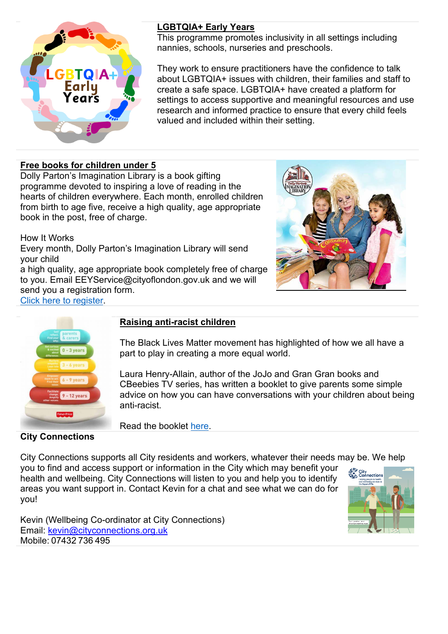

#### **LGBTQIA+ Early Years**

This programme promotes inclusivity in all settings including nannies, schools, nurseries and preschools.

They work to ensure practitioners have the confidence to talk about LGBTQIA+ issues with children, their families and staff to create a safe space. LGBTQIA+ have created a platform for settings to access supportive and meaningful resources and use research and informed practice to ensure that every child feels valued and included within their setting.

#### **Free books for children under 5**

Dolly Parton's Imagination Library is a book gifting programme devoted to inspiring a love of reading in the hearts of children everywhere. Each month, enrolled children from birth to age five, receive a high quality, age appropriate book in the post, free of charge.

How It Works

Every month, Dolly Parton's Imagination Library will send your child

a high quality, age appropriate book completely free of charge to you. Email EEYService@cityoflondon.gov.uk and we will send you a registration form. [Click here to register.](https://fyi.cityoflondon.gov.uk/kb5/cityoflondon/fyi/service.page?id=Xee5L4m54wg)





#### **Raising anti-racist children**

The Black Lives Matter movement has highlighted of how we all have a part to play in creating a more equal world.

Laura Henry-Allain, author of the JoJo and Gran Gran books and CBeebies TV series, has written a booklet to give parents some simple advice on how you can have conversations with your children about being anti-racist.

Read the booklet [here.](https://www.mattel.com/sites/mattel_mattelcom/files/2020-07/Supporting_you_to_raise_antiracist_children3.pdf?fbclid=IwAR3Hz7dvoyLnoa-k6_zUNYgXhXTJ6GUjWb8qAxOo6jHiGlptviBlgqd5SZg)

**City Connections** 

City Connections supports all City residents and workers, whatever their needs may be. We help you to find and access support or information in the City which may benefit your health and wellbeing. City Connections will listen to you and help you to identify areas you want support in. Contact Kevin for a chat and see what we can do for you!

Kevin (Wellbeing Co-ordinator at City Connections) Email: [kevin@cityconnections.org.uk](mailto:kevin@cityconnections.org.uk) Mobile: 07432 736 495